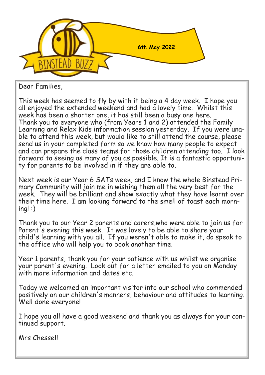

Dear Families,

This week has seemed to fly by with it being a 4 day week. I hope you all enjoyed the extended weekend and had a lovely time. Whilst this week has been a shorter one, it has still been a busy one here. Thank you to everyone who (from Years 1 and 2) attended the Family Learning and Relax Kids information session yesterday. If you were unable to attend this week, but would like to still attend the course, please send us in your completed form so we know how many people to expect and can prepare the class teams for those children attending too. I look forward to seeing as many of you as possible. It is a fantastic opportunity for parents to be involved in if they are able to.

Next week is our Year 6 SATs week, and I know the whole Binstead Primary Community will join me in wishing them all the very best for the week. They will be brilliant and show exactly what they have learnt over their time here. I am looking forward to the smell of toast each morning! :)

Thank you to our Year 2 parents and carers,who were able to join us for Parent's evening this week. It was lovely to be able to share your child's learning with you all. If you weren't able to make it, do speak to the office who will help you to book another time.

Year 1 parents, thank you for your patience with us whilst we organise your parent's evening. Look out for a letter emailed to you on Monday with more information and dates etc.

Today we welcomed an important visitor into our school who commended positively on our children's manners, behaviour and attitudes to learning. Well done everyone!

I hope you all have a good weekend and thank you as always for your continued support.

Mrs Chessell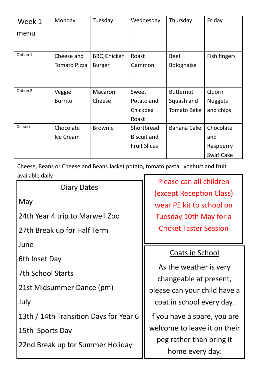| Week 1   | Monday              | Tuesday            | Wednesday           | Thursday           | Friday            |
|----------|---------------------|--------------------|---------------------|--------------------|-------------------|
| menu     |                     |                    |                     |                    |                   |
|          |                     |                    |                     |                    |                   |
| Option 1 | Cheese and          | <b>BBQ Chicken</b> | Roast               | <b>Beef</b>        | Fish fingers      |
|          | <b>Tomato Pizza</b> | <b>Burger</b>      | Gammon              | <b>Bolognaise</b>  |                   |
|          |                     |                    |                     |                    |                   |
|          |                     |                    |                     |                    |                   |
| Option 2 | Veggie              | Macaroni           | Sweet               | <b>Butternut</b>   | Quorn             |
|          | <b>Burrito</b>      | Cheese             | Potato and          | Squash and         | <b>Nuggets</b>    |
|          |                     |                    | Chickpea            | <b>Tomato Bake</b> | and chips         |
|          |                     |                    | Roast               |                    |                   |
| Dessert  | Chocolate           | <b>Brownie</b>     | Shortbread          | Banana Cake        | Chocolate         |
|          | Ice Cream           |                    | <b>Biscuit and</b>  |                    | and               |
|          |                     |                    | <b>Fruit Slices</b> |                    | Raspberry         |
|          |                     |                    |                     |                    | <b>Swirl Cake</b> |

Cheese, Beans or Cheese and Beans Jacket potato, tomato pasta, yoghurt and fruit available daily

## Diary Dates

May

24th Year 4 trip to Marwell Zoo

27th Break up for Half Term

June

6th Inset Day

7th School Starts

21st Midsummer Dance (pm)

July

13th / 14th Transition Days for Year 6

15th Sports Day

22nd Break up for Summer Holiday

Please can all children (except Reception Class) wear PE kit to school on Tuesday 10th May for a Cricket Taster Session

## Coats in School

As the weather is very changeable at present, please can your child have a coat in school every day.

If you have a spare, you are welcome to leave it on their peg rather than bring it home every day.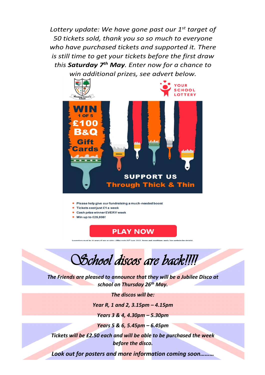*Lottery update: We have gone past our 1st target of 50 tickets sold, thank you so so much to everyone who have purchased tickets and supported it. There is still time to get your tickets before the first draw this Saturday 7th May. Enter now for a chance to win additional prizes, see advert below.*



- Please help give our fundraising a much-needed boost
- Tickets cost just £1 a week
- Cash prize winner EVERY week
- Win up to £25,000!



*School discos are back!!!!* 

*The Friends are pleased to announce that they will be a Jubilee Disco at school on Thursday 26th May.* 

*The discos will be:*

*Year R, 1 and 2, 3.15pm – 4.15pm*

*Years 3 & 4, 4.30pm – 5.30pm*

*Years 5 & 6, 5.45pm – 6.45pm*

*Tickets will be £2.50 each and will be able to be purchased the week before the disco.*

*Look out for posters and more information coming soon………*